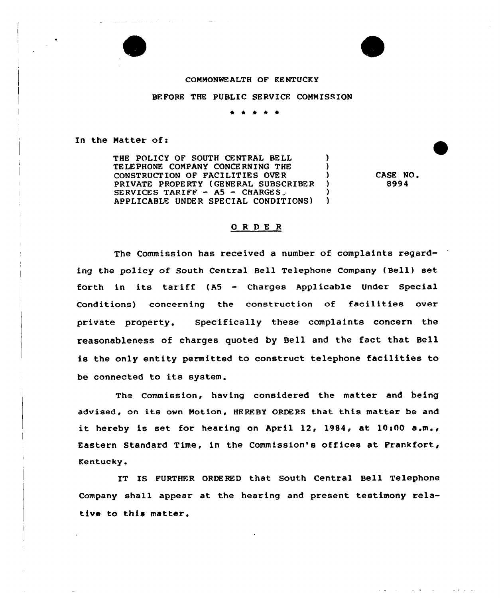## COMMONWEALTH OF KENTUCKY

## BEFORE THE PUBLIC SERVICE COMMISSION

\* 0 \*

In the Natter of:

THE POLICY OF SOUTH CENTRAL BELL ) TELEPHONE COMPANY CONCERNING THE CONSTRUCTION OF FACILITIES OVER (3) PRIVATE PROPERTY (GENERAL SUBSCRIBER SERVICES TARIFF  $-$  A5  $-$  CHARGES  $\ge$   $)$ <br>applicante under special conditions) APPLICABLE UNDER SPECIAL CONDITIONS) )

CASE NO. 8994

## 0 <sup>R</sup> DE <sup>R</sup>

The Commission has received a number of complaints regarding the policy of South Central Bell Telephone Company (Bell) set forth in its tariff (A5 — Charges Applicable Under Special Conditions) concerning the construction of facilities over private property. Specifically these complaints concern the reasonableness of charges quoted by Bell and the fact that Bell is the only entity permitted to construct telephone facilities to be connected to its system.

The Commission, having considered the matter and being advised, on its own Motion, HEREBY ORDERS that this matter be and it hereby is set for hearing on April 12, 1984, at  $10:00$  a.m., Eastern Standard Time, in the Commission's offices at Prankfort, Kentucky.

IT IS FURTHER ORDERED that South Central Bell Telephone Company shall appear at the hearing and present testimony relative to this matter.